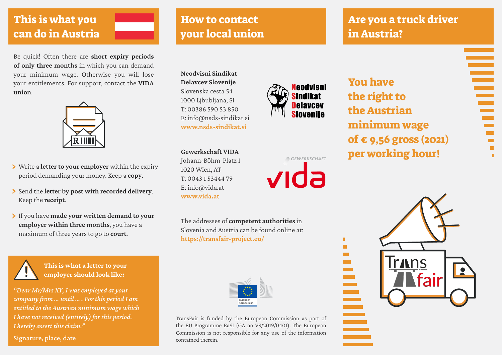#### This is what you can do in Austria

Be quick! Often there are **short expiry periods of only three months** in which you can demand your minimum wage. Otherwise you will lose your entitlements. For support, contact the **VIDA union**.



- › Write a **letter to your employer** within the expiry period demanding your money. Keep a **copy**.
- › Send the **letter by post with recorded delivery**. Keep the **receipt**.
- › If you have **made your written demand to your employer within three months**, you have a maximum of three years to go to **court**.



**This is what a letter to your employer should look like:**

*"Dear Mr/Mrs XY, I was employed at your company from … until … . For this period I am entitled to the Austrian minimum wage which I have not received (entirely) for this period. I hereby assert this claim."* 

Signature, place, date

### How to contact your local union

## Are you a truck driver in Austria?

Ē

 $\blacksquare$ 

**Neodvisni Sindikat Delavcev Slovenije**  Slovenska cesta 54 1000 Ljbubljana, SI T: 00386 590 53 850 E: info@nsds-sindikat.si **<www.nsds-sindikat.si>**



GEWERKSCHAFT

 $\blacksquare$  $\blacksquare$ 

**College** 

vida

**Gewerkschaft VIDA** Johann-Böhm-Platz 1 1020 Wien, AT T: 0043 1 53444 79 E: info@vida.at **<www.vida.at>**

The addresses of **competent authorities** in Slovenia and Austria can be found online at: **[https://transfair-project.eu/](https://transfair-project.eu/%20)** 

| European<br>Commission |  |
|------------------------|--|

TransFair is funded by the European Commission as part of the EU Programme EaSI (GA no VS/2019/0401). The European Commission is not responsible for any use of the information contained therein.

You have the right to the Austrian minimum wage of € 9,56 gross (2021) per working hour!

**Trans** ≣